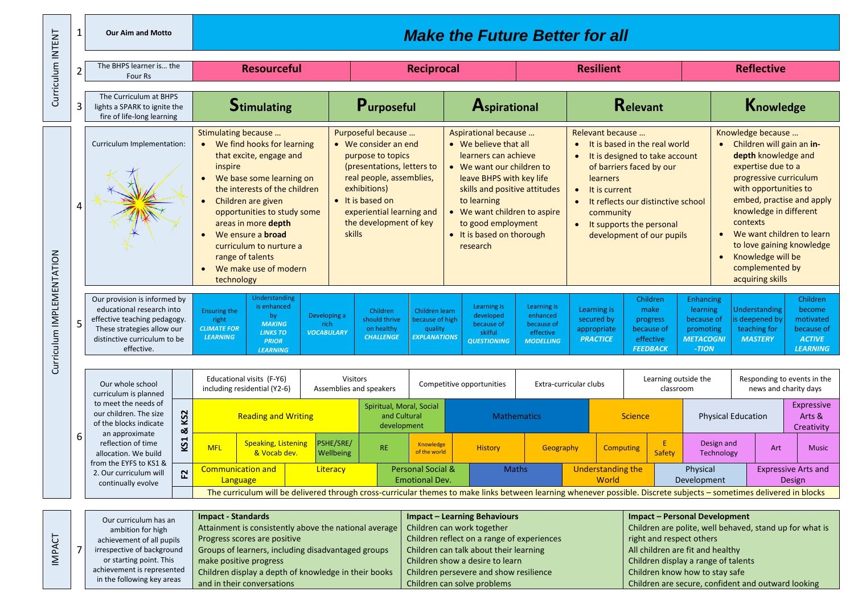| 1<br><b>Make the Future Better for all</b><br><b>Our Aim and Motto</b> |                                    |                                                                                                                                                                                                                    |                             |                                                                                                                                                                                                                                                                                                                                                    |                                                                                                                                                        |                        |                                                                                                                                                                                                                                               |                                                                                                                                                                                              |                                                                                                                                                                                                                                                                               |                                                                                                                                       |                                                                                                                                                                                                                                                                                                 |                                                |                                                                            |                                                                                                                                                                                                                                                                                                                                                      |                                 |                                                                          |                                                                                   |  |
|------------------------------------------------------------------------|------------------------------------|--------------------------------------------------------------------------------------------------------------------------------------------------------------------------------------------------------------------|-----------------------------|----------------------------------------------------------------------------------------------------------------------------------------------------------------------------------------------------------------------------------------------------------------------------------------------------------------------------------------------------|--------------------------------------------------------------------------------------------------------------------------------------------------------|------------------------|-----------------------------------------------------------------------------------------------------------------------------------------------------------------------------------------------------------------------------------------------|----------------------------------------------------------------------------------------------------------------------------------------------------------------------------------------------|-------------------------------------------------------------------------------------------------------------------------------------------------------------------------------------------------------------------------------------------------------------------------------|---------------------------------------------------------------------------------------------------------------------------------------|-------------------------------------------------------------------------------------------------------------------------------------------------------------------------------------------------------------------------------------------------------------------------------------------------|------------------------------------------------|----------------------------------------------------------------------------|------------------------------------------------------------------------------------------------------------------------------------------------------------------------------------------------------------------------------------------------------------------------------------------------------------------------------------------------------|---------------------------------|--------------------------------------------------------------------------|-----------------------------------------------------------------------------------|--|
| Curriculum INTENT                                                      | The BHPS learner is the<br>Four Rs |                                                                                                                                                                                                                    |                             | <b>Resourceful</b>                                                                                                                                                                                                                                                                                                                                 |                                                                                                                                                        |                        | <b>Reciprocal</b>                                                                                                                                                                                                                             |                                                                                                                                                                                              |                                                                                                                                                                                                                                                                               | <b>Resilient</b>                                                                                                                      |                                                                                                                                                                                                                                                                                                 |                                                |                                                                            |                                                                                                                                                                                                                                                                                                                                                      | <b>Reflective</b>               |                                                                          |                                                                                   |  |
|                                                                        | 3                                  | The Curriculum at BHPS<br>lights a SPARK to ignite the<br>fire of life-long learning                                                                                                                               |                             | <b>Stimulating</b>                                                                                                                                                                                                                                                                                                                                 |                                                                                                                                                        |                        | Purposeful                                                                                                                                                                                                                                    |                                                                                                                                                                                              | Aspirational                                                                                                                                                                                                                                                                  |                                                                                                                                       | <b>Relevant</b>                                                                                                                                                                                                                                                                                 |                                                |                                                                            |                                                                                                                                                                                                                                                                                                                                                      | Knowledge                       |                                                                          |                                                                                   |  |
|                                                                        | Curriculum Implementation:<br>4    |                                                                                                                                                                                                                    |                             | Stimulating because<br>We find hooks for learning<br>that excite, engage and<br>inspire<br>We base some learning on<br>the interests of the children<br>Children are given<br>opportunities to study some<br>areas in more depth<br>We ensure a <b>broad</b><br>curriculum to nurture a<br>range of talents<br>We make use of modern<br>technology |                                                                                                                                                        |                        | Purposeful because<br>$\bullet$ We consider an end<br>purpose to topics<br>(presentations, letters to<br>real people, assemblies,<br>exhibitions)<br>• It is based on<br>experiential learning and<br>the development of key<br><b>skills</b> |                                                                                                                                                                                              | Aspirational because<br>• We believe that all<br>learners can achieve<br>• We want our children to<br>leave BHPS with key life<br>skills and positive attitudes<br>to learning<br>• We want children to aspire<br>to good employment<br>• It is based on thorough<br>research |                                                                                                                                       | Relevant because<br>It is based in the real world<br>$\bullet$<br>It is designed to take account<br>$\bullet$<br>of barriers faced by our<br>learners<br>$\bullet$<br>It is current<br>It reflects our distinctive school<br>community<br>It supports the personal<br>development of our pupils |                                                |                                                                            | Knowledge because<br>Children will gain an in-<br>depth knowledge and<br>expertise due to a<br>progressive curriculum<br>with opportunities to<br>embed, practise and apply<br>knowledge in different<br>contexts<br>We want children to learn<br>to love gaining knowledge<br>Knowledge will be<br>$\bullet$<br>complemented by<br>acquiring skills |                                 |                                                                          |                                                                                   |  |
| Curriculum IMPLEMENTATION                                              |                                    | Our provision is informed by<br>educational research into<br>effective teaching pedagogy.<br>These strategies allow our<br>distinctive curriculum to be<br>effective.                                              |                             | <b>Ensuring the</b><br>right<br><b>CLIMATE FOR</b><br><b>LEARNING</b>                                                                                                                                                                                                                                                                              | Understanding<br>is enhanced<br>Developing a<br>by<br><b>MAKING</b><br>rich<br><b>VOCABULARY</b><br><b>LINKS TO</b><br><b>PRIOR</b><br><b>LEARNING</b> |                        | Children<br>Children learn<br>should thrive<br>because of high<br>on healthy<br>quality<br><b>EXPLANATIONS</b><br><b>CHALLENGE</b>                                                                                                            |                                                                                                                                                                                              | Learning is<br>developed<br>because of<br>skilful<br><b>QUESTIONING</b>                                                                                                                                                                                                       | Learning is<br>Learning is<br>enhanced<br>secured by<br>because of<br>appropriate<br>effective<br><b>PRACTICE</b><br><b>MODELLING</b> |                                                                                                                                                                                                                                                                                                 |                                                | Children<br>make<br>progress<br>because of<br>effective<br><b>FEEDBACK</b> | <b>Enhancing</b><br>learning<br>because of<br>promoting<br><b>METACOGNI</b><br>-TION                                                                                                                                                                                                                                                                 |                                 | <b>Understanding</b><br>is deepened by<br>teaching for<br><b>MASTERY</b> | Children<br>become<br>motivated<br>because of<br><b>ACTIVE</b><br><b>LEARNING</b> |  |
|                                                                        | 6                                  | Our whole school<br>curriculum is planned                                                                                                                                                                          |                             | Educational visits (F-Y6)<br>including residential (Y2-6)                                                                                                                                                                                                                                                                                          |                                                                                                                                                        |                        | <b>Visitors</b><br>Assemblies and speakers                                                                                                                                                                                                    |                                                                                                                                                                                              | Competitive opportunities                                                                                                                                                                                                                                                     |                                                                                                                                       |                                                                                                                                                                                                                                                                                                 | Learning outside the<br>Extra-curricular clubs |                                                                            | classroom                                                                                                                                                                                                                                                                                                                                            |                                 |                                                                          | Responding to events in the<br>news and charity days                              |  |
|                                                                        |                                    | to meet the needs of<br>our children. The size<br>of the blocks indicate<br>an approximate<br>reflection of time<br>allocation. We build<br>from the EYFS to KS1 &<br>2. Our curriculum will<br>continually evolve | KS <sub>2</sub><br>ಡ<br>KS1 | <b>Reading and Writing</b>                                                                                                                                                                                                                                                                                                                         |                                                                                                                                                        |                        | Spiritual, Moral, Social<br>and Cultural<br>development                                                                                                                                                                                       |                                                                                                                                                                                              | <b>Mathematics</b>                                                                                                                                                                                                                                                            |                                                                                                                                       |                                                                                                                                                                                                                                                                                                 | <b>Science</b>                                 |                                                                            |                                                                                                                                                                                                                                                                                                                                                      | <b>Physical Education</b>       |                                                                          | Expressive<br>Arts &<br>Creativity                                                |  |
|                                                                        |                                    |                                                                                                                                                                                                                    |                             | <b>MFL</b>                                                                                                                                                                                                                                                                                                                                         | <b>Speaking, Listening</b><br>& Vocab dev.                                                                                                             | PSHE/SRE/<br>Wellbeing | <b>RE</b>                                                                                                                                                                                                                                     | <b>Knowledge</b><br>of the world                                                                                                                                                             | <b>History</b>                                                                                                                                                                                                                                                                | Geography                                                                                                                             |                                                                                                                                                                                                                                                                                                 | <b>Computing</b>                               |                                                                            | Safety                                                                                                                                                                                                                                                                                                                                               | Design and<br><b>Technology</b> | Art                                                                      | <b>Music</b>                                                                      |  |
|                                                                        |                                    |                                                                                                                                                                                                                    | $\sim$<br>щ                 | <b>Communication and</b><br>Language                                                                                                                                                                                                                                                                                                               |                                                                                                                                                        | Literacy               | <b>Personal Social &amp;</b><br><b>Emotional Dev.</b>                                                                                                                                                                                         |                                                                                                                                                                                              | <b>Maths</b>                                                                                                                                                                                                                                                                  |                                                                                                                                       | <b>Understanding the</b><br>World<br>The curriculum will be delivered through cross-curricular themes to make links between learning whenever possible. Discrete subjects - sometimes delivered in blocks                                                                                       |                                                | Physical<br>Development                                                    |                                                                                                                                                                                                                                                                                                                                                      |                                 | <b>Expressive Arts and</b><br>Design                                     |                                                                                   |  |
| <b>IMPACT</b>                                                          |                                    | Our curriculum has an<br>ambition for high<br>achievement of all pupils<br>irrespective of background<br>or starting point. This                                                                                   |                             | <b>Impact - Standards</b><br>Attainment is consistently above the national average<br>Progress scores are positive<br>Groups of learners, including disadvantaged groups<br>make positive progress                                                                                                                                                 |                                                                                                                                                        |                        |                                                                                                                                                                                                                                               | <b>Impact - Learning Behaviours</b><br>Children can work together<br>Children reflect on a range of experiences<br>Children can talk about their learning<br>Children show a desire to learn |                                                                                                                                                                                                                                                                               |                                                                                                                                       |                                                                                                                                                                                                                                                                                                 |                                                |                                                                            | <b>Impact - Personal Development</b><br>Children are polite, well behaved, stand up for what is<br>right and respect others<br>All children are fit and healthy<br>Children display a range of talents                                                                                                                                               |                                 |                                                                          |                                                                                   |  |

Children persevere and show resilience

Children know how to stay safe

Children are secure, confident and outward looking

Children can solve problems

achievement is represented in the following key areas

 $\overline{a}$ 

ы

Children display a depth of knowledge in their books

and in their conversations